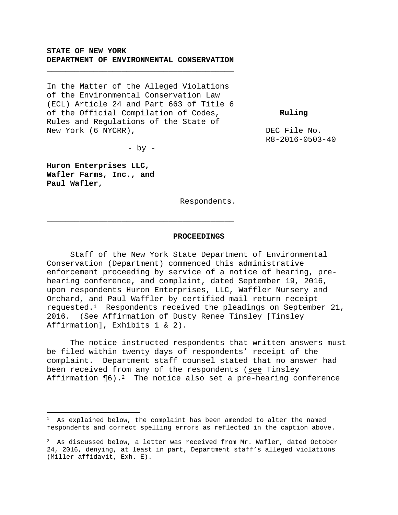### **STATE OF NEW YORK DEPARTMENT OF ENVIRONMENTAL CONSERVATION**

**\_\_\_\_\_\_\_\_\_\_\_\_\_\_\_\_\_\_\_\_\_\_\_\_\_\_\_\_\_\_\_\_\_\_\_\_\_\_\_\_** 

In the Matter of the Alleged Violations of the Environmental Conservation Law (ECL) Article 24 and Part 663 of Title 6 of the Official Compilation of Codes, Rules and Regulations of the State of New York (6 NYCRR),

 **Ruling** 

DEC File No. R8-2016-0503-40

 $-$  by  $-$ 

**\_\_\_\_\_\_\_\_\_\_\_\_\_\_\_\_\_\_\_\_\_\_\_\_\_\_\_\_\_\_\_\_\_\_\_\_\_\_\_\_** 

**Huron Enterprises LLC, Wafler Farms, Inc., and Paul Wafler,**

i<br>Li

Respondents.

#### **PROCEEDINGS**

Staff of the New York State Department of Environmental Conservation (Department) commenced this administrative enforcement proceeding by service of a notice of hearing, prehearing conference, and complaint, dated September 19, 2016, upon respondents Huron Enterprises, LLC, Waffler Nursery and Orchard, and Paul Waffler by certified mail return receipt requested.1 Respondents received the pleadings on September 21, 2016. (See Affirmation of Dusty Renee Tinsley [Tinsley Affirmation], Exhibits 1 & 2).

The notice instructed respondents that written answers must be filed within twenty days of respondents' receipt of the complaint. Department staff counsel stated that no answer had been received from any of the respondents (see Tinsley Affirmation  $\P6)$ .<sup>2</sup> The notice also set a pre-hearing conference

 $1$  As explained below, the complaint has been amended to alter the named respondents and correct spelling errors as reflected in the caption above.

 $2$  As discussed below, a letter was received from Mr. Wafler, dated October 24, 2016, denying, at least in part, Department staff's alleged violations (Miller affidavit, Exh. E).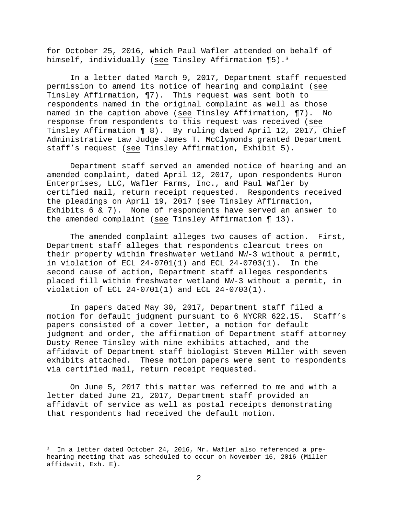for October 25, 2016, which Paul Wafler attended on behalf of himself, individually (see Tinsley Affirmation ¶5).<sup>3</sup>

In a letter dated March 9, 2017, Department staff requested permission to amend its notice of hearing and complaint (see Tinsley Affirmation, ¶7). This request was sent both to respondents named in the original complaint as well as those named in the caption above (see Tinsley Affirmation, ¶7). No response from respondents to this request was received (see Tinsley Affirmation ¶ 8). By ruling dated April 12, 2017, Chief Administrative Law Judge James T. McClymonds granted Department staff's request (see Tinsley Affirmation, Exhibit 5).

Department staff served an amended notice of hearing and an amended complaint, dated April 12, 2017, upon respondents Huron Enterprises, LLC, Wafler Farms, Inc., and Paul Wafler by certified mail, return receipt requested. Respondents received the pleadings on April 19, 2017 (see Tinsley Affirmation, Exhibits 6 & 7). None of respondents have served an answer to the amended complaint (see Tinsley Affirmation ¶ 13).

The amended complaint alleges two causes of action. First, Department staff alleges that respondents clearcut trees on their property within freshwater wetland NW-3 without a permit, in violation of ECL 24-0701(1) and ECL 24-0703(1). In the second cause of action, Department staff alleges respondents placed fill within freshwater wetland NW-3 without a permit, in violation of ECL 24-0701(1) and ECL 24-0703(1).

In papers dated May 30, 2017, Department staff filed a motion for default judgment pursuant to 6 NYCRR 622.15. Staff's papers consisted of a cover letter, a motion for default judgment and order, the affirmation of Department staff attorney Dusty Renee Tinsley with nine exhibits attached, and the affidavit of Department staff biologist Steven Miller with seven exhibits attached. These motion papers were sent to respondents via certified mail, return receipt requested.

On June 5, 2017 this matter was referred to me and with a letter dated June 21, 2017, Department staff provided an affidavit of service as well as postal receipts demonstrating that respondents had received the default motion.

i

<sup>&</sup>lt;sup>3</sup> In a letter dated October 24, 2016, Mr. Wafler also referenced a prehearing meeting that was scheduled to occur on November 16, 2016 (Miller affidavit, Exh. E).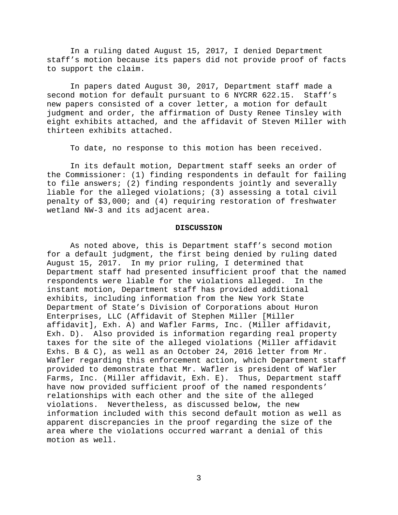In a ruling dated August 15, 2017, I denied Department staff's motion because its papers did not provide proof of facts to support the claim.

In papers dated August 30, 2017, Department staff made a second motion for default pursuant to 6 NYCRR 622.15. Staff's new papers consisted of a cover letter, a motion for default judgment and order, the affirmation of Dusty Renee Tinsley with eight exhibits attached, and the affidavit of Steven Miller with thirteen exhibits attached.

To date, no response to this motion has been received.

In its default motion, Department staff seeks an order of the Commissioner: (1) finding respondents in default for failing to file answers; (2) finding respondents jointly and severally liable for the alleged violations; (3) assessing a total civil penalty of \$3,000; and (4) requiring restoration of freshwater wetland NW-3 and its adjacent area.

#### **DISCUSSION**

As noted above, this is Department staff's second motion for a default judgment, the first being denied by ruling dated August 15, 2017. In my prior ruling, I determined that Department staff had presented insufficient proof that the named respondents were liable for the violations alleged. In the instant motion, Department staff has provided additional exhibits, including information from the New York State Department of State's Division of Corporations about Huron Enterprises, LLC (Affidavit of Stephen Miller [Miller affidavit], Exh. A) and Wafler Farms, Inc. (Miller affidavit, Exh. D). Also provided is information regarding real property taxes for the site of the alleged violations (Miller affidavit Exhs. B & C), as well as an October 24, 2016 letter from Mr. Wafler regarding this enforcement action, which Department staff provided to demonstrate that Mr. Wafler is president of Wafler Farms, Inc. (Miller affidavit, Exh. E). Thus, Department staff have now provided sufficient proof of the named respondents' relationships with each other and the site of the alleged violations. Nevertheless, as discussed below, the new information included with this second default motion as well as apparent discrepancies in the proof regarding the size of the area where the violations occurred warrant a denial of this motion as well.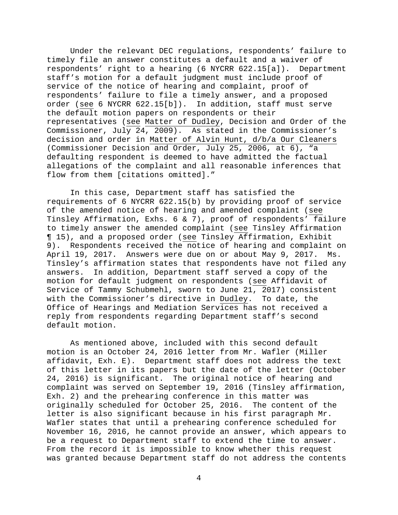Under the relevant DEC regulations, respondents' failure to timely file an answer constitutes a default and a waiver of respondents' right to a hearing (6 NYCRR 622.15[a]). Department staff's motion for a default judgment must include proof of service of the notice of hearing and complaint, proof of respondents' failure to file a timely answer, and a proposed order (see 6 NYCRR 622.15[b]). In addition, staff must serve the default motion papers on respondents or their representatives (see Matter of Dudley, Decision and Order of the Commissioner, July  $24$ , 2009). As stated in the Commissioner's decision and order in Matter of Alvin Hunt, d/b/a Our Cleaners (Commissioner Decision and Order, July 25, 2006, at 6), "a defaulting respondent is deemed to have admitted the factual allegations of the complaint and all reasonable inferences that flow from them [citations omitted]."

In this case, Department staff has satisfied the requirements of 6 NYCRR 622.15(b) by providing proof of service of the amended notice of hearing and amended complaint (see Tinsley Affirmation, Exhs. 6 & 7), proof of respondents' failure to timely answer the amended complaint (see Tinsley Affirmation ¶ 15), and a proposed order (see Tinsley Affirmation, Exhibit 9). Respondents received the notice of hearing and complaint on April 19, 2017. Answers were due on or about May 9, 2017. Ms. Tinsley's affirmation states that respondents have not filed any answers. In addition, Department staff served a copy of the motion for default judgment on respondents (see Affidavit of Service of Tammy Schubmehl, sworn to June 21, 2017) consistent with the Commissioner's directive in Dudley. To date, the Office of Hearings and Mediation Services has not received a reply from respondents regarding Department staff's second default motion.

 As mentioned above, included with this second default motion is an October 24, 2016 letter from Mr. Wafler (Miller affidavit, Exh. E). Department staff does not address the text of this letter in its papers but the date of the letter (October 24, 2016) is significant. The original notice of hearing and complaint was served on September 19, 2016 (Tinsley affirmation, Exh. 2) and the prehearing conference in this matter was originally scheduled for October 25, 2016. The content of the letter is also significant because in his first paragraph Mr. Wafler states that until a prehearing conference scheduled for November 16, 2016, he cannot provide an answer, which appears to be a request to Department staff to extend the time to answer. From the record it is impossible to know whether this request was granted because Department staff do not address the contents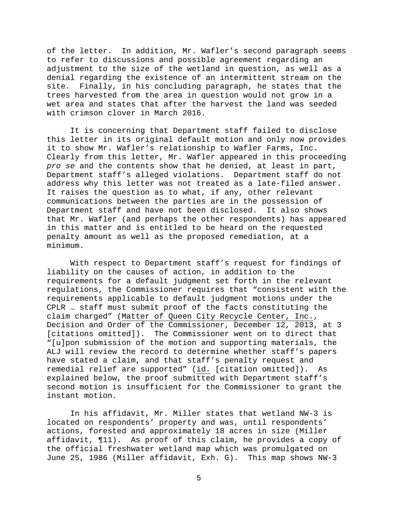of the letter. In addition, Mr. Wafler's second paragraph seems to refer to discussions and possible agreement regarding an adjustment to the size of the wetland in question, as well as a denial regarding the existence of an intermittent stream on the site. Finally, in his concluding paragraph, he states that the trees harvested from the area in question would not grow in a wet area and states that after the harvest the land was seeded with crimson clover in March 2016.

It is concerning that Department staff failed to disclose this letter in its original default motion and only now provides it to show Mr. Wafler's relationship to Wafler Farms, Inc. Clearly from this letter, Mr. Wafler appeared in this proceeding *pro se* and the contents show that he denied, at least in part, Department staff's alleged violations. Department staff do not address why this letter was not treated as a late-filed answer. It raises the question as to what, if any, other relevant communications between the parties are in the possession of Department staff and have not been disclosed. It also shows that Mr. Wafler (and perhaps the other respondents) has appeared in this matter and is entitled to be heard on the requested penalty amount as well as the proposed remediation, at a minimum.

 With respect to Department staff's request for findings of liability on the causes of action, in addition to the requirements for a default judgment set forth in the relevant regulations, the Commissioner requires that "consistent with the requirements applicable to default judgment motions under the CPLR … staff must submit proof of the facts constituting the claim charged" (Matter of Queen City Recycle Center, Inc., Decision and Order of the Commissioner, December 12, 2013, at 3 [citations omitted]). The Commissioner went on to direct that "[u]pon submission of the motion and supporting materials, the ALJ will review the record to determine whether staff's papers have stated a claim, and that staff's penalty request and remedial relief are supported" (id. [citation omitted]). As explained below, the proof submitted with Department staff's second motion is insufficient for the Commissioner to grant the instant motion.

 In his affidavit, Mr. Miller states that wetland NW-3 is located on respondents' property and was, until respondents' actions, forested and approximately 18 acres in size (Miller affidavit, ¶11). As proof of this claim, he provides a copy of the official freshwater wetland map which was promulgated on June 25, 1986 (Miller affidavit, Exh. G). This map shows NW-3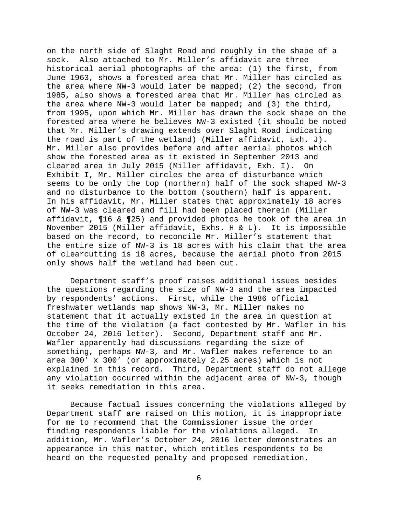on the north side of Slaght Road and roughly in the shape of a sock. Also attached to Mr. Miller's affidavit are three historical aerial photographs of the area: (1) the first, from June 1963, shows a forested area that Mr. Miller has circled as the area where NW-3 would later be mapped; (2) the second, from 1985, also shows a forested area that Mr. Miller has circled as the area where NW-3 would later be mapped; and (3) the third, from 1995, upon which Mr. Miller has drawn the sock shape on the forested area where he believes NW-3 existed (it should be noted that Mr. Miller's drawing extends over Slaght Road indicating the road is part of the wetland) (Miller affidavit, Exh. J). Mr. Miller also provides before and after aerial photos which show the forested area as it existed in September 2013 and cleared area in July 2015 (Miller affidavit, Exh. I). On Exhibit I, Mr. Miller circles the area of disturbance which seems to be only the top (northern) half of the sock shaped NW-3 and no disturbance to the bottom (southern) half is apparent. In his affidavit, Mr. Miller states that approximately 18 acres of NW-3 was cleared and fill had been placed therein (Miller affidavit, ¶16 & ¶25) and provided photos he took of the area in November 2015 (Miller affidavit, Exhs. H & L). It is impossible based on the record, to reconcile Mr. Miller's statement that the entire size of NW-3 is 18 acres with his claim that the area of clearcutting is 18 acres, because the aerial photo from 2015 only shows half the wetland had been cut.

 Department staff's proof raises additional issues besides the questions regarding the size of NW-3 and the area impacted by respondents' actions. First, while the 1986 official freshwater wetlands map shows NW-3, Mr. Miller makes no statement that it actually existed in the area in question at the time of the violation (a fact contested by Mr. Wafler in his October 24, 2016 letter). Second, Department staff and Mr. Wafler apparently had discussions regarding the size of something, perhaps NW-3, and Mr. Wafler makes reference to an area 300' x 300' (or approximately 2.25 acres) which is not explained in this record. Third, Department staff do not allege any violation occurred within the adjacent area of NW-3, though it seeks remediation in this area.

 Because factual issues concerning the violations alleged by Department staff are raised on this motion, it is inappropriate for me to recommend that the Commissioner issue the order finding respondents liable for the violations alleged. In addition, Mr. Wafler's October 24, 2016 letter demonstrates an appearance in this matter, which entitles respondents to be heard on the requested penalty and proposed remediation.

6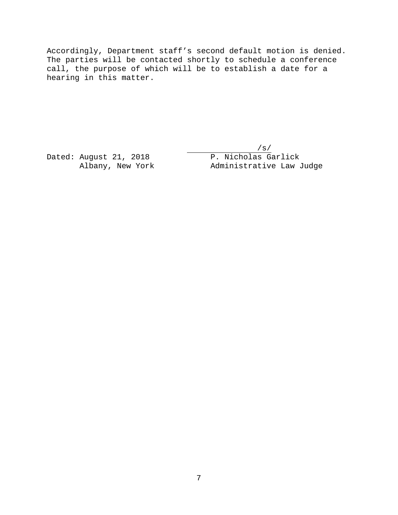Accordingly, Department staff's second default motion is denied. The parties will be contacted shortly to schedule a conference call, the purpose of which will be to establish a date for a hearing in this matter.

 $/s/$ Dated: August 21, 2018 P. Nicholas Garlick Albany, New York Administrative Law Judge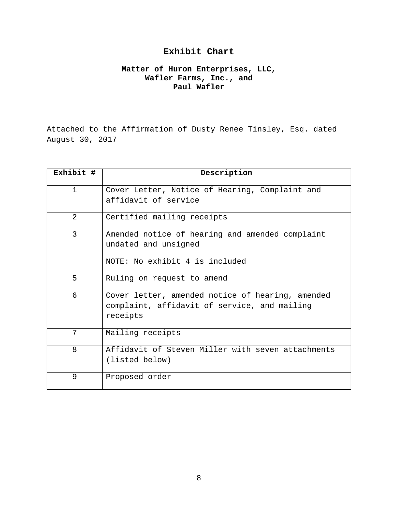# **Exhibit Chart**

## **Matter of Huron Enterprises, LLC, Wafler Farms, Inc., and Paul Wafler**

Attached to the Affirmation of Dusty Renee Tinsley, Esq. dated August 30, 2017

| Exhibit #    | Description                                                                                                  |
|--------------|--------------------------------------------------------------------------------------------------------------|
| $\mathbf{1}$ | Cover Letter, Notice of Hearing, Complaint and<br>affidavit of service                                       |
| 2            | Certified mailing receipts                                                                                   |
| 3            | Amended notice of hearing and amended complaint<br>undated and unsigned                                      |
|              | NOTE: No exhibit 4 is included                                                                               |
| 5            | Ruling on request to amend                                                                                   |
| 6            | Cover letter, amended notice of hearing, amended<br>complaint, affidavit of service, and mailing<br>receipts |
| 7            | Mailing receipts                                                                                             |
| 8            | Affidavit of Steven Miller with seven attachments<br>(listed below)                                          |
| 9            | Proposed order                                                                                               |